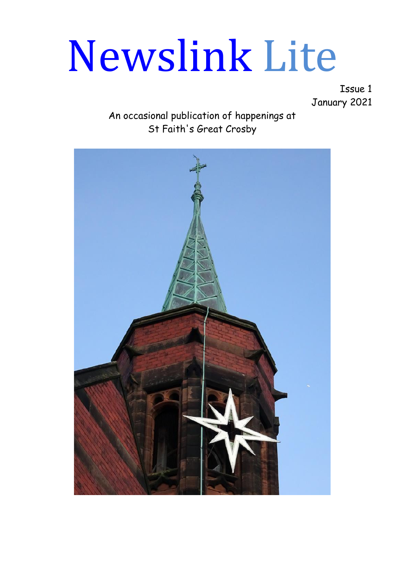# Newslink Lite

Issue 1 January 2021

An occasional publication of happenings at St Faith's Great Crosby

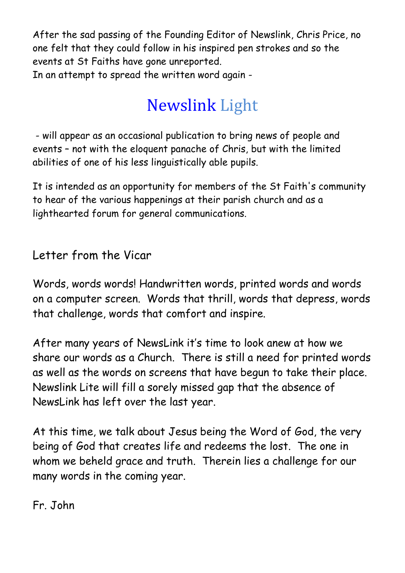After the sad passing of the Founding Editor of Newslink, Chris Price, no one felt that they could follow in his inspired pen strokes and so the events at St Faiths have gone unreported. In an attempt to spread the written word again -

# Newslink Light

- will appear as an occasional publication to bring news of people and events – not with the eloquent panache of Chris, but with the limited abilities of one of his less linguistically able pupils.

It is intended as an opportunity for members of the St Faith's community to hear of the various happenings at their parish church and as a lighthearted forum for general communications.

# Letter from the Vicar

Words, words words! Handwritten words, printed words and words on a computer screen. Words that thrill, words that depress, words that challenge, words that comfort and inspire.

After many years of NewsLink it's time to look anew at how we share our words as a Church. There is still a need for printed words as well as the words on screens that have begun to take their place. Newslink Lite will fill a sorely missed gap that the absence of NewsLink has left over the last year.

At this time, we talk about Jesus being the Word of God, the very being of God that creates life and redeems the lost. The one in whom we beheld grace and truth. Therein lies a challenge for our many words in the coming year.

Fr. John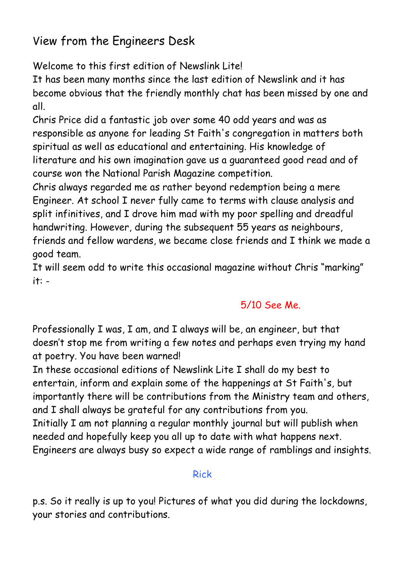## View from the Engineers Desk

Welcome to this first edition of Newslink Litel

It has been many months since the last edition of Newslink and it has become obvious that the friendly monthly chat has been missed by one and all.

Chris Price did a fantastic job over some 40 odd years and was as responsible as anyone for leading St Faith's congregation in matters both spiritual as well as educational and entertaining. His knowledge of literature and his own imagination gave us a guaranteed good read and of course won the National Parish Magazine competition.

Chris always regarded me as rather beyond redemption being a mere Engineer. At school I never fully came to terms with clause analysis and split infinitives, and I drove him mad with my poor spelling and dreadful handwriting. However, during the subsequent 55 years as neighbours, friends and fellow wardens, we became close friends and I think we made a good team.

It will seem odd to write this occasional magazine without Chris "marking" it: -

#### 5/10 See Me.

Professionally I was, I am, and I always will be, an engineer, but that doesn't stop me from writing a few notes and perhaps even trying my hand at poetry. You have been warned!

In these occasional editions of Newslink Lite I shall do my best to entertain, inform and explain some of the happenings at St Faith's, but importantly there will be contributions from the Ministry team and others, and I shall always be grateful for any contributions from you. Initially I am not planning a regular monthly journal but will publish when needed and hopefully keep you all up to date with what happens next. Engineers are always busy so expect a wide range of ramblings and insights.

#### Rick

p.s. So it really is up to you! Pictures of what you did during the lockdowns, your stories and contributions.